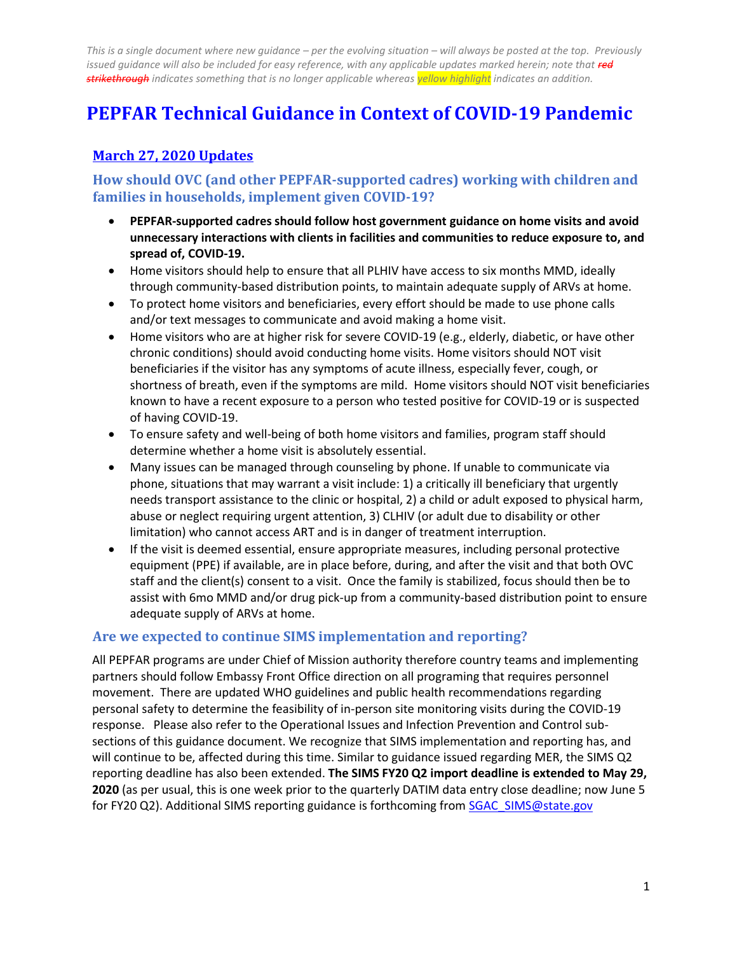# **PEPFAR Technical Guidance in Context of COVID-19 Pandemic**

# **March 27, 2020 Updates**

## **How should OVC (and other PEPFAR-supported cadres) working with children and families in households, implement given COVID-19?**

- **PEPFAR-supported cadres should follow host government guidance on home visits and avoid unnecessary interactions with clients in facilities and communities to reduce exposure to, and spread of, COVID-19.**
- Home visitors should help to ensure that all PLHIV have access to six months MMD, ideally through community-based distribution points, to maintain adequate supply of ARVs at home.
- To protect home visitors and beneficiaries, every effort should be made to use phone calls and/or text messages to communicate and avoid making a home visit.
- Home visitors who are at higher risk for severe COVID-19 (e.g., elderly, diabetic, or have other chronic conditions) should avoid conducting home visits. Home visitors should NOT visit beneficiaries if the visitor has any symptoms of acute illness, especially fever, cough, or shortness of breath, even if the symptoms are mild. Home visitors should NOT visit beneficiaries known to have a recent exposure to a person who tested positive for COVID-19 or is suspected of having COVID-19.
- To ensure safety and well-being of both home visitors and families, program staff should determine whether a home visit is absolutely essential.
- Many issues can be managed through counseling by phone. If unable to communicate via phone, situations that may warrant a visit include: 1) a critically ill beneficiary that urgently needs transport assistance to the clinic or hospital, 2) a child or adult exposed to physical harm, abuse or neglect requiring urgent attention, 3) CLHIV (or adult due to disability or other limitation) who cannot access ART and is in danger of treatment interruption.
- If the visit is deemed essential, ensure appropriate measures, including personal protective equipment (PPE) if available, are in place before, during, and after the visit and that both OVC staff and the client(s) consent to a visit. Once the family is stabilized, focus should then be to assist with 6mo MMD and/or drug pick-up from a community-based distribution point to ensure adequate supply of ARVs at home.

## **Are we expected to continue SIMS implementation and reporting?**

All PEPFAR programs are under Chief of Mission authority therefore country teams and implementing partners should follow Embassy Front Office direction on all programing that requires personnel movement. There are updated WHO guidelines and public health recommendations regarding personal safety to determine the feasibility of in-person site monitoring visits during the COVID-19 response. Please also refer to the Operational Issues and Infection Prevention and Control subsections of this guidance document. We recognize that SIMS implementation and reporting has, and will continue to be, affected during this time. Similar to guidance issued regarding MER, the SIMS Q2 reporting deadline has also been extended. **The SIMS FY20 Q2 import deadline is extended to May 29, 2020** (as per usual, this is one week prior to the quarterly DATIM data entry close deadline; now June 5 for FY20 Q2). Additional SIMS reporting guidance is forthcoming fro[m SGAC\\_SIMS@state.gov](mailto:SGAC_SIMS@state.gov)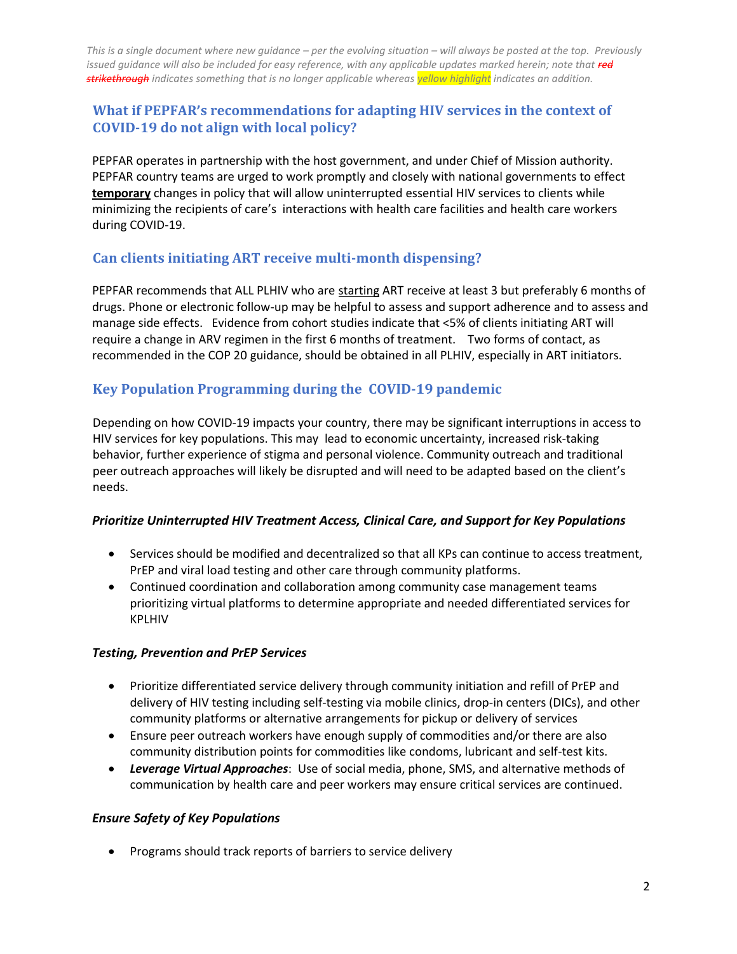# **What if PEPFAR's recommendations for adapting HIV services in the context of COVID-19 do not align with local policy?**

PEPFAR operates in partnership with the host government, and under Chief of Mission authority. PEPFAR country teams are urged to work promptly and closely with national governments to effect **temporary** changes in policy that will allow uninterrupted essential HIV services to clients while minimizing the recipients of care's interactions with health care facilities and health care workers during COVID-19.

# **Can clients initiating ART receive multi-month dispensing?**

PEPFAR recommends that ALL PLHIV who are starting ART receive at least 3 but preferably 6 months of drugs. Phone or electronic follow-up may be helpful to assess and support adherence and to assess and manage side effects. Evidence from cohort studies indicate that <5% of clients initiating ART will require a change in ARV regimen in the first 6 months of treatment. Two forms of contact, as recommended in the COP 20 guidance, should be obtained in all PLHIV, especially in ART initiators.

# **Key Population Programming during the COVID-19 pandemic**

Depending on how COVID-19 impacts your country, there may be significant interruptions in access to HIV services for key populations. This may lead to economic uncertainty, increased risk-taking behavior, further experience of stigma and personal violence. Community outreach and traditional peer outreach approaches will likely be disrupted and will need to be adapted based on the client's needs.

## *Prioritize Uninterrupted HIV Treatment Access, Clinical Care, and Support for Key Populations*

- Services should be modified and decentralized so that all KPs can continue to access treatment, PrEP and viral load testing and other care through community platforms.
- Continued coordination and collaboration among community case management teams prioritizing virtual platforms to determine appropriate and needed differentiated services for KPLHIV

## *Testing, Prevention and PrEP Services*

- Prioritize differentiated service delivery through community initiation and refill of PrEP and delivery of HIV testing including self-testing via mobile clinics, drop-in centers (DICs), and other community platforms or alternative arrangements for pickup or delivery of services
- Ensure peer outreach workers have enough supply of commodities and/or there are also community distribution points for commodities like condoms, lubricant and self-test kits.
- *Leverage Virtual Approaches*: Use of social media, phone, SMS, and alternative methods of communication by health care and peer workers may ensure critical services are continued.

## *Ensure Safety of Key Populations*

• Programs should track reports of barriers to service delivery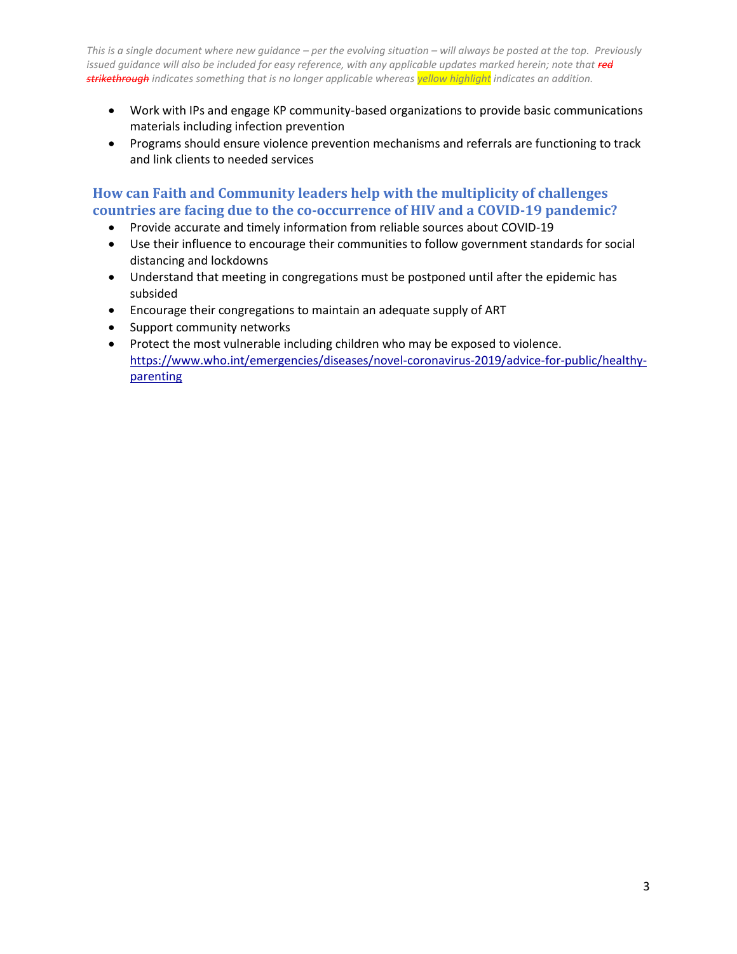- Work with IPs and engage KP community-based organizations to provide basic communications materials including infection prevention
- Programs should ensure violence prevention mechanisms and referrals are functioning to track and link clients to needed services

# **How can Faith and Community leaders help with the multiplicity of challenges countries are facing due to the co-occurrence of HIV and a COVID-19 pandemic?**

- Provide accurate and timely information from reliable sources about COVID-19
- Use their influence to encourage their communities to follow government standards for social distancing and lockdowns
- Understand that meeting in congregations must be postponed until after the epidemic has subsided
- Encourage their congregations to maintain an adequate supply of ART
- Support community networks
- Protect the most vulnerable including children who may be exposed to violence. [https://www.who.int/emergencies/diseases/novel-coronavirus-2019/advice-for-public/healthy](https://www.who.int/emergencies/diseases/novel-coronavirus-2019/advice-for-public/healthy-parenting)[parenting](https://www.who.int/emergencies/diseases/novel-coronavirus-2019/advice-for-public/healthy-parenting)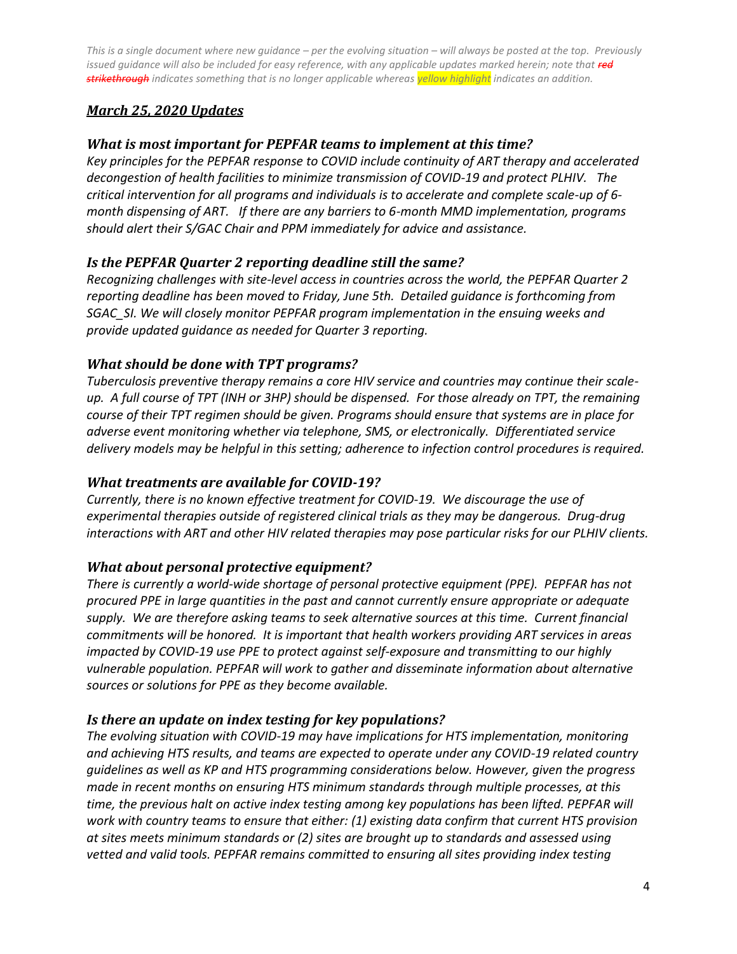# *March 25, 2020 Updates*

# *What is most important for PEPFAR teams to implement at this time?*

*Key principles for the PEPFAR response to COVID include continuity of ART therapy and accelerated decongestion of health facilities to minimize transmission of COVID-19 and protect PLHIV. The critical intervention for all programs and individuals is to accelerate and complete scale-up of 6 month dispensing of ART. If there are any barriers to 6-month MMD implementation, programs should alert their S/GAC Chair and PPM immediately for advice and assistance.*

# *Is the PEPFAR Quarter 2 reporting deadline still the same?*

*Recognizing challenges with site-level access in countries across the world, the PEPFAR Quarter 2 reporting deadline has been moved to Friday, June 5th. Detailed guidance is forthcoming from SGAC\_SI. We will closely monitor PEPFAR program implementation in the ensuing weeks and provide updated guidance as needed for Quarter 3 reporting.* 

# *What should be done with TPT programs?*

*Tuberculosis preventive therapy remains a core HIV service and countries may continue their scaleup. A full course of TPT (INH or 3HP) should be dispensed. For those already on TPT, the remaining course of their TPT regimen should be given. Programs should ensure that systems are in place for adverse event monitoring whether via telephone, SMS, or electronically. Differentiated service delivery models may be helpful in this setting; adherence to infection control procedures is required.* 

## *What treatments are available for COVID-19?*

*Currently, there is no known effective treatment for COVID-19. We discourage the use of experimental therapies outside of registered clinical trials as they may be dangerous. Drug-drug interactions with ART and other HIV related therapies may pose particular risks for our PLHIV clients.* 

## *What about personal protective equipment?*

*There is currently a world-wide shortage of personal protective equipment (PPE). PEPFAR has not procured PPE in large quantities in the past and cannot currently ensure appropriate or adequate supply. We are therefore asking teams to seek alternative sources at this time. Current financial commitments will be honored. It is important that health workers providing ART services in areas impacted by COVID-19 use PPE to protect against self-exposure and transmitting to our highly vulnerable population. PEPFAR will work to gather and disseminate information about alternative sources or solutions for PPE as they become available.* 

## *Is there an update on index testing for key populations?*

*The evolving situation with COVID-19 may have implications for HTS implementation, monitoring and achieving HTS results, and teams are expected to operate under any COVID-19 related country guidelines as well as KP and HTS programming considerations below. However, given the progress made in recent months on ensuring HTS minimum standards through multiple processes, at this time, the previous halt on active index testing among key populations has been lifted. PEPFAR will work with country teams to ensure that either: (1) existing data confirm that current HTS provision at sites meets minimum standards or (2) sites are brought up to standards and assessed using*  vetted and valid tools. PEPFAR remains committed to ensuring all sites providing index testing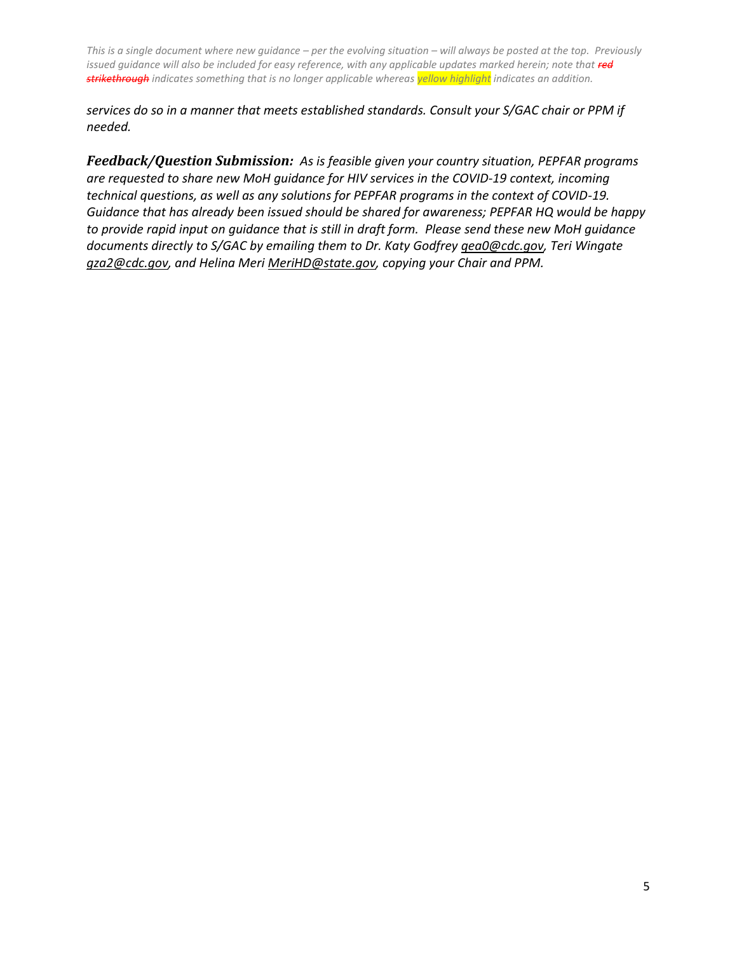*services do so in a manner that meets established standards. Consult your S/GAC chair or PPM if needed.* 

*Feedback/Question Submission: As is feasible given your country situation, PEPFAR programs are requested to share new MoH guidance for HIV services in the COVID-19 context, incoming technical questions, as well as any solutions for PEPFAR programs in the context of COVID-19. Guidance that has already been issued should be shared for awareness; PEPFAR HQ would be happy to provide rapid input on guidance that is still in draft form. Please send these new MoH guidance documents directly to S/GAC by emailing them to Dr. Katy Godfrey [qea0@cdc.gov,](mailto:qea0@cdc.gov) Teri Wingate [gza2@cdc.gov,](mailto:gza2@cdc.gov) and Helina Mer[i MeriHD@state.gov,](mailto:MeriHD@state.gov) copying your Chair and PPM.*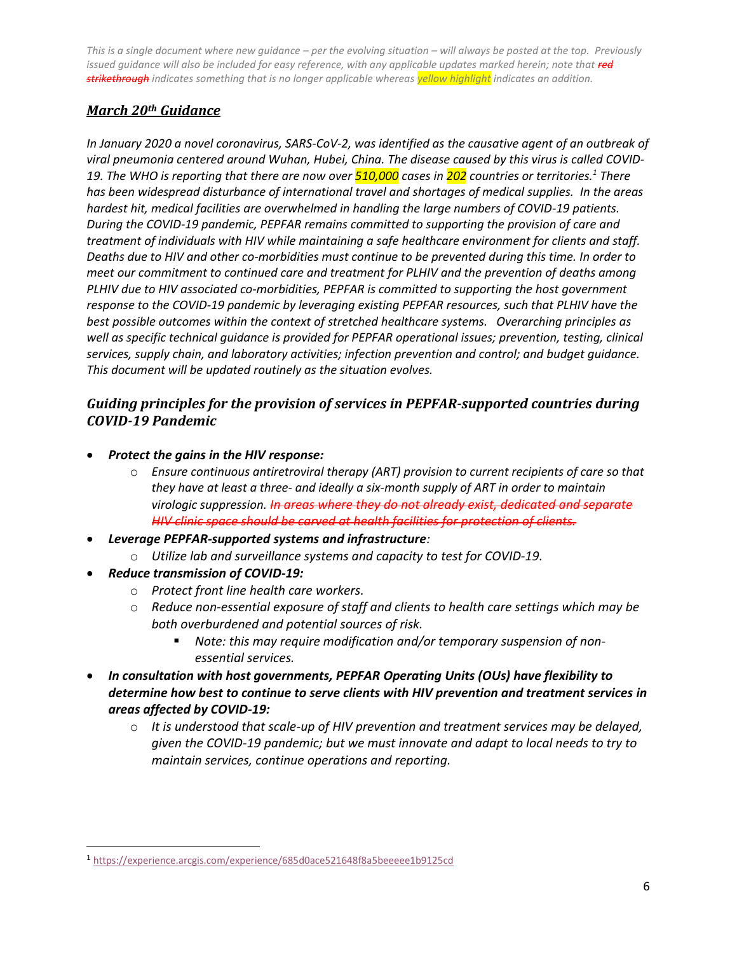# *March 20th Guidance*

*In January 2020 a novel coronavirus, SARS-CoV-2, was identified as the causative agent of an outbreak of viral pneumonia centered around Wuhan, Hubei, China. The disease caused by this virus is called COVID-19. The WHO is reporting that there are now over 510,000 cases in 202 countries or territories.<sup>1</sup> There has been widespread disturbance of international travel and shortages of medical supplies. In the areas hardest hit, medical facilities are overwhelmed in handling the large numbers of COVID-19 patients. During the COVID-19 pandemic, PEPFAR remains committed to supporting the provision of care and treatment of individuals with HIV while maintaining a safe healthcare environment for clients and staff. Deaths due to HIV and other co-morbidities must continue to be prevented during this time. In order to meet our commitment to continued care and treatment for PLHIV and the prevention of deaths among PLHIV due to HIV associated co-morbidities, PEPFAR is committed to supporting the host government response to the COVID-19 pandemic by leveraging existing PEPFAR resources, such that PLHIV have the best possible outcomes within the context of stretched healthcare systems. Overarching principles as well as specific technical guidance is provided for PEPFAR operational issues; prevention, testing, clinical services, supply chain, and laboratory activities; infection prevention and control; and budget guidance. This document will be updated routinely as the situation evolves.*

# *Guiding principles for the provision of services in PEPFAR-supported countries during COVID-19 Pandemic*

- *Protect the gains in the HIV response:*
	- o *Ensure continuous antiretroviral therapy (ART) provision to current recipients of care so that they have at least a three- and ideally a six-month supply of ART in order to maintain virologic suppression. In areas where they do not already exist, dedicated and separate HIV clinic space should be carved at health facilities for protection of clients.*
- *Leverage PEPFAR-supported systems and infrastructure:* 
	- o *Utilize lab and surveillance systems and capacity to test for COVID-19.*
- *Reduce transmission of COVID-19:*

 $\overline{\phantom{a}}$ 

- o *Protect front line health care workers.*
- o *Reduce non-essential exposure of staff and clients to health care settings which may be both overburdened and potential sources of risk.* 
	- *Note: this may require modification and/or temporary suspension of nonessential services.*
- *In consultation with host governments, PEPFAR Operating Units (OUs) have flexibility to determine how best to continue to serve clients with HIV prevention and treatment services in areas affected by COVID-19:* 
	- o *It is understood that scale-up of HIV prevention and treatment services may be delayed, given the COVID-19 pandemic; but we must innovate and adapt to local needs to try to maintain services, continue operations and reporting.*

<sup>1</sup> <https://experience.arcgis.com/experience/685d0ace521648f8a5beeeee1b9125cd>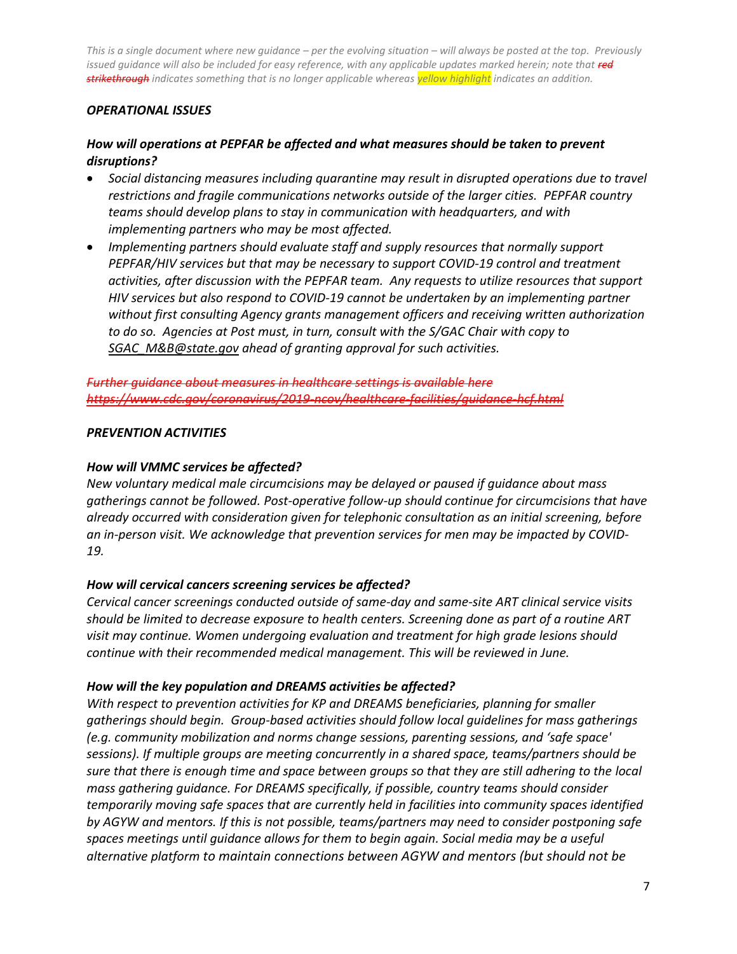## *OPERATIONAL ISSUES*

## *How will operations at PEPFAR be affected and what measures should be taken to prevent disruptions?*

- *Social distancing measures including quarantine may result in disrupted operations due to travel restrictions and fragile communications networks outside of the larger cities. PEPFAR country teams should develop plans to stay in communication with headquarters, and with implementing partners who may be most affected.*
- *Implementing partners should evaluate staff and supply resources that normally support PEPFAR/HIV services but that may be necessary to support COVID-19 control and treatment activities, after discussion with the PEPFAR team. Any requests to utilize resources that support HIV services but also respond to COVID-19 cannot be undertaken by an implementing partner without first consulting Agency grants management officers and receiving written authorization to do so. Agencies at Post must, in turn, consult with the S/GAC Chair with copy to [SGAC\\_M&B@state.gov](mailto:SGAC_M&B@state.gov) ahead of granting approval for such activities.*

*Further guidance about measures in healthcare settings is available here <https://www.cdc.gov/coronavirus/2019-ncov/healthcare-facilities/guidance-hcf.html>*

## *PREVENTION ACTIVITIES*

#### *How will VMMC services be affected?*

*New voluntary medical male circumcisions may be delayed or paused if guidance about mass gatherings cannot be followed. Post-operative follow-up should continue for circumcisions that have already occurred with consideration given for telephonic consultation as an initial screening, before an in-person visit. We acknowledge that prevention services for men may be impacted by COVID-19.* 

## *How will cervical cancers screening services be affected?*

*Cervical cancer screenings conducted outside of same-day and same-site ART clinical service visits should be limited to decrease exposure to health centers. Screening done as part of a routine ART visit may continue. Women undergoing evaluation and treatment for high grade lesions should continue with their recommended medical management. This will be reviewed in June.* 

## *How will the key population and DREAMS activities be affected?*

*With respect to prevention activities for KP and DREAMS beneficiaries, planning for smaller gatherings should begin. Group-based activities should follow local guidelines for mass gatherings (e.g. community mobilization and norms change sessions, parenting sessions, and 'safe space' sessions). If multiple groups are meeting concurrently in a shared space, teams/partners should be sure that there is enough time and space between groups so that they are still adhering to the local mass gathering guidance. For DREAMS specifically, if possible, country teams should consider temporarily moving safe spaces that are currently held in facilities into community spaces identified by AGYW and mentors. If this is not possible, teams/partners may need to consider postponing safe spaces meetings until guidance allows for them to begin again. Social media may be a useful alternative platform to maintain connections between AGYW and mentors (but should not be*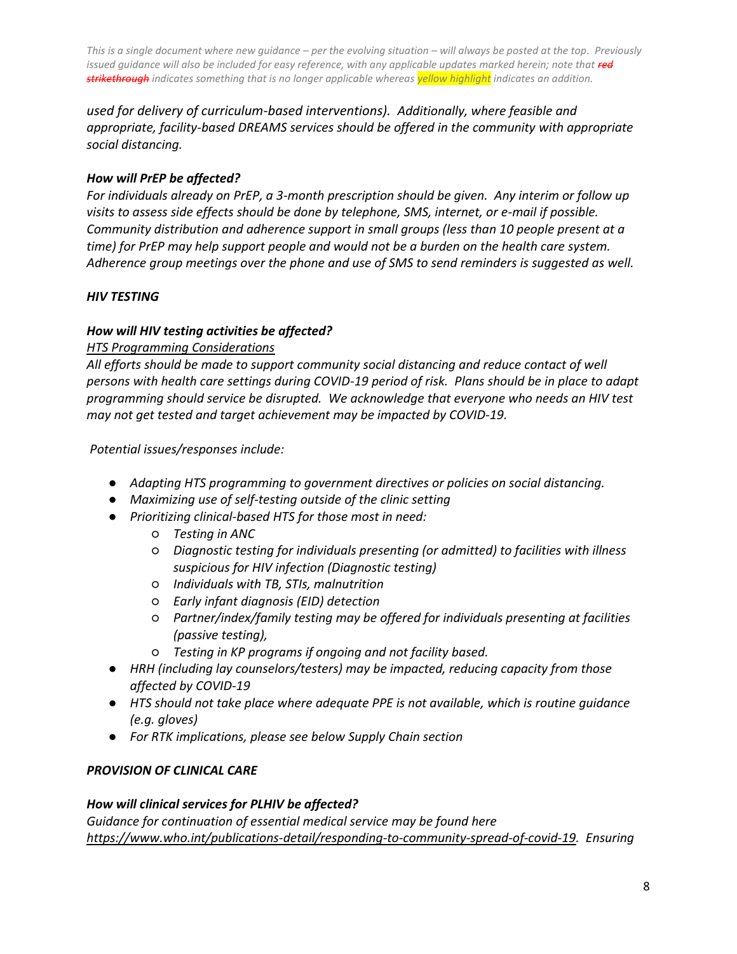*used for delivery of curriculum-based interventions). Additionally, where feasible and appropriate, facility-based DREAMS services should be offered in the community with appropriate social distancing.*

## *How will PrEP be affected?*

*For individuals already on PrEP, a 3-month prescription should be given. Any interim or follow up visits to assess side effects should be done by telephone, SMS, internet, or e-mail if possible. Community distribution and adherence support in small groups (less than 10 people present at a time) for PrEP may help support people and would not be a burden on the health care system. Adherence group meetings over the phone and use of SMS to send reminders is suggested as well.*

## *HIV TESTING*

## *How will HIV testing activities be affected?*

## *HTS Programming Considerations*

*All efforts should be made to support community social distancing and reduce contact of well persons with health care settings during COVID-19 period of risk. Plans should be in place to adapt programming should service be disrupted. We acknowledge that everyone who needs an HIV test may not get tested and target achievement may be impacted by COVID-19.* 

*Potential issues/responses include:* 

- *Adapting HTS programming to government directives or policies on social distancing.*
- *Maximizing use of self-testing outside of the clinic setting*
- *Prioritizing clinical-based HTS for those most in need:* 
	- *Testing in ANC*
	- *Diagnostic testing for individuals presenting (or admitted) to facilities with illness suspicious for HIV infection (Diagnostic testing)*
	- *Individuals with TB, STIs, malnutrition*
	- *Early infant diagnosis (EID) detection*
	- *Partner/index/family testing may be offered for individuals presenting at facilities (passive testing),*
	- *Testing in KP programs if ongoing and not facility based.*
- *HRH (including lay counselors/testers) may be impacted, reducing capacity from those affected by COVID-19*
- *HTS should not take place where adequate PPE is not available, which is routine guidance (e.g. gloves)*
- *For RTK implications, please see below Supply Chain section*

## *PROVISION OF CLINICAL CARE*

## *How will clinical services for PLHIV be affected?*

*Guidance for continuation of essential medical service may be found here [https://www.who.int/publications-detail/responding-to-community-spread-of-covid-19.](https://www.who.int/publications-detail/responding-to-community-spread-of-covid-19) Ensuring*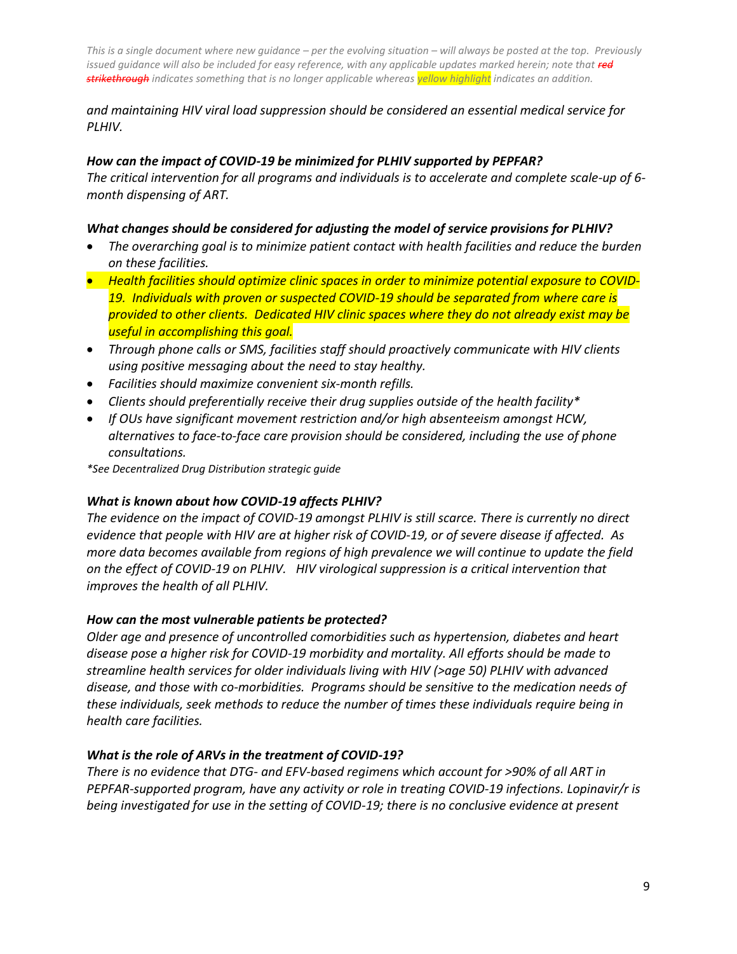## *and maintaining HIV viral load suppression should be considered an essential medical service for PLHIV.*

## *How can the impact of COVID-19 be minimized for PLHIV supported by PEPFAR?*

*The critical intervention for all programs and individuals is to accelerate and complete scale-up of 6 month dispensing of ART.* 

## *What changes should be considered for adjusting the model of service provisions for PLHIV?*

- *The overarching goal is to minimize patient contact with health facilities and reduce the burden on these facilities.*
- *Health facilities should optimize clinic spaces in order to minimize potential exposure to COVID-19. Individuals with proven or suspected COVID-19 should be separated from where care is provided to other clients. Dedicated HIV clinic spaces where they do not already exist may be useful in accomplishing this goal.*
- *Through phone calls or SMS, facilities staff should proactively communicate with HIV clients using positive messaging about the need to stay healthy.*
- *Facilities should maximize convenient six-month refills.*
- *Clients should preferentially receive their drug supplies outside of the health facility\**
- *If OUs have significant movement restriction and/or high absenteeism amongst HCW, alternatives to face-to-face care provision should be considered, including the use of phone consultations.*

*\*See Decentralized Drug Distribution strategic guide*

## *What is known about how COVID-19 affects PLHIV?*

*The evidence on the impact of COVID-19 amongst PLHIV is still scarce. There is currently no direct evidence that people with HIV are at higher risk of COVID-19, or of severe disease if affected. As more data becomes available from regions of high prevalence we will continue to update the field on the effect of COVID-19 on PLHIV. HIV virological suppression is a critical intervention that improves the health of all PLHIV.*

## *How can the most vulnerable patients be protected?*

*Older age and presence of uncontrolled comorbidities such as hypertension, diabetes and heart disease pose a higher risk for COVID-19 morbidity and mortality. All efforts should be made to streamline health services for older individuals living with HIV (>age 50) PLHIV with advanced disease, and those with co-morbidities. Programs should be sensitive to the medication needs of these individuals, seek methods to reduce the number of times these individuals require being in health care facilities.* 

## *What is the role of ARVs in the treatment of COVID-19?*

*There is no evidence that DTG- and EFV-based regimens which account for >90% of all ART in PEPFAR-supported program, have any activity or role in treating COVID-19 infections. Lopinavir/r is being investigated for use in the setting of COVID-19; there is no conclusive evidence at present*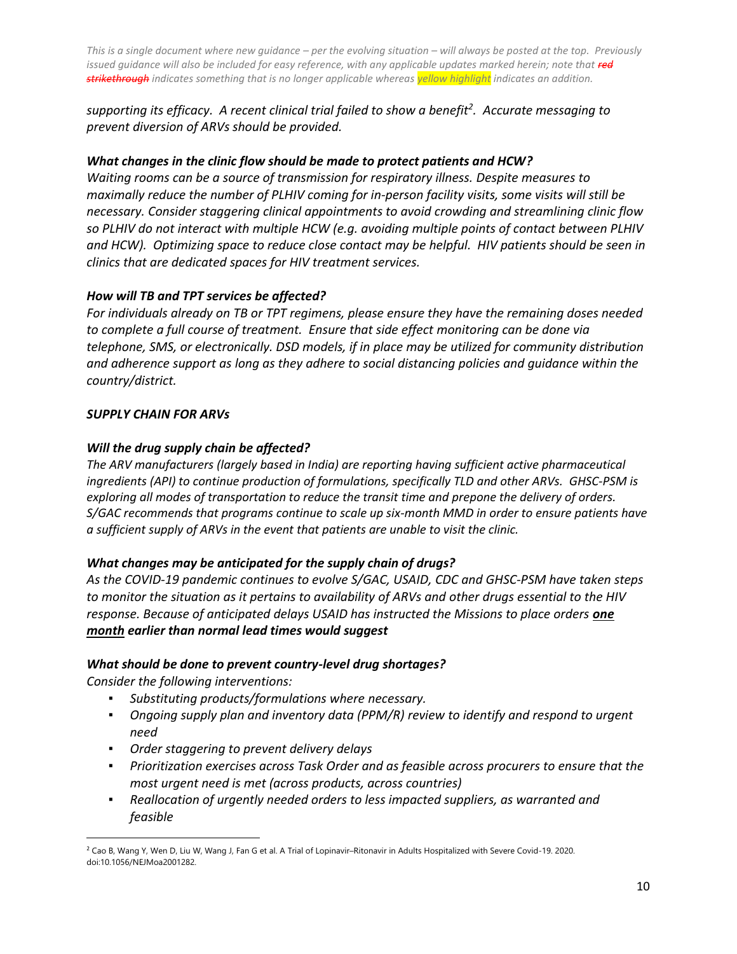*supporting its efficacy. A recent clinical trial failed to show a benefit<sup>2</sup> . Accurate messaging to prevent diversion of ARVs should be provided.* 

## *What changes in the clinic flow should be made to protect patients and HCW?*

*Waiting rooms can be a source of transmission for respiratory illness. Despite measures to maximally reduce the number of PLHIV coming for in-person facility visits, some visits will still be necessary. Consider staggering clinical appointments to avoid crowding and streamlining clinic flow so PLHIV do not interact with multiple HCW (e.g. avoiding multiple points of contact between PLHIV and HCW). Optimizing space to reduce close contact may be helpful. HIV patients should be seen in clinics that are dedicated spaces for HIV treatment services.* 

## *How will TB and TPT services be affected?*

*For individuals already on TB or TPT regimens, please ensure they have the remaining doses needed to complete a full course of treatment. Ensure that side effect monitoring can be done via telephone, SMS, or electronically. DSD models, if in place may be utilized for community distribution and adherence support as long as they adhere to social distancing policies and guidance within the country/district.* 

## *SUPPLY CHAIN FOR ARVs*

## *Will the drug supply chain be affected?*

*The ARV manufacturers (largely based in India) are reporting having sufficient active pharmaceutical ingredients (API) to continue production of formulations, specifically TLD and other ARVs. GHSC-PSM is exploring all modes of transportation to reduce the transit time and prepone the delivery of orders. S/GAC recommends that programs continue to scale up six-month MMD in order to ensure patients have a sufficient supply of ARVs in the event that patients are unable to visit the clinic.*

## *What changes may be anticipated for the supply chain of drugs?*

*As the COVID-19 pandemic continues to evolve S/GAC, USAID, CDC and GHSC-PSM have taken steps to monitor the situation as it pertains to availability of ARVs and other drugs essential to the HIV response. Because of anticipated delays USAID has instructed the Missions to place orders one month earlier than normal lead times would suggest*

## *What should be done to prevent country-level drug shortages?*

*Consider the following interventions:*

- *Substituting products/formulations where necessary.*
- *Ongoing supply plan and inventory data (PPM/R) review to identify and respond to urgent need*
- *Order staggering to prevent delivery delays*
- *Prioritization exercises across Task Order and as feasible across procurers to ensure that the most urgent need is met (across products, across countries)*
- *Reallocation of urgently needed orders to less impacted suppliers, as warranted and feasible*

 $\overline{\phantom{a}}$ <sup>2</sup> Cao B, Wang Y, Wen D, Liu W, Wang J, Fan G et al. A Trial of Lopinavir–Ritonavir in Adults Hospitalized with Severe Covid-19. 2020. doi:10.1056/NEJMoa2001282.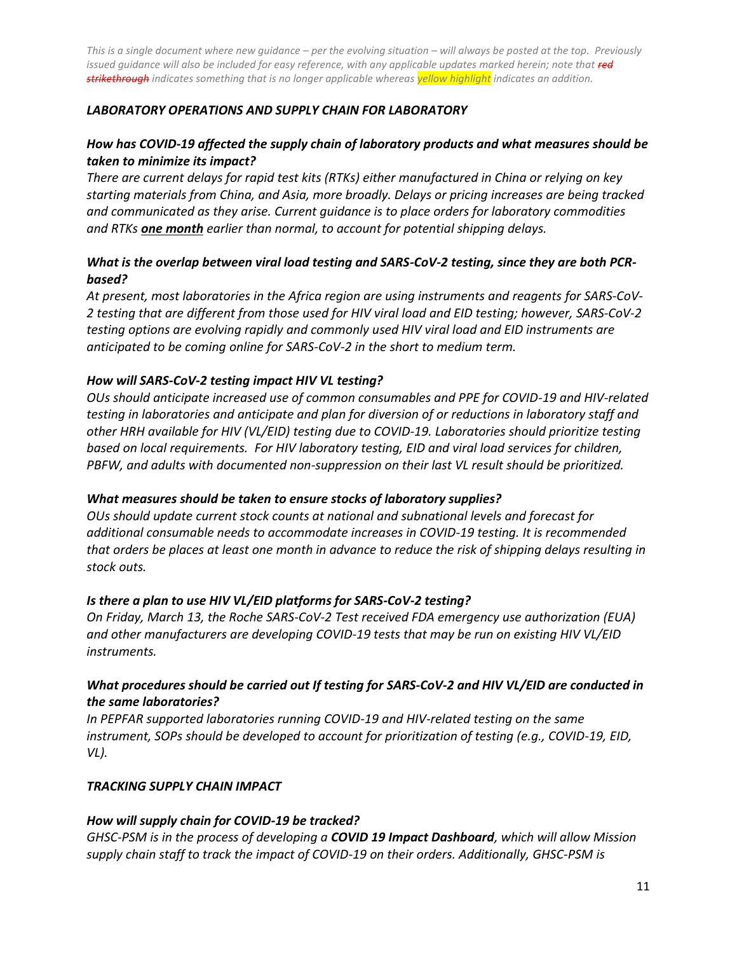## *LABORATORY OPERATIONS AND SUPPLY CHAIN FOR LABORATORY*

## *How has COVID-19 affected the supply chain of laboratory products and what measures should be taken to minimize its impact?*

*There are current delays for rapid test kits (RTKs) either manufactured in China or relying on key starting materials from China, and Asia, more broadly. Delays or pricing increases are being tracked and communicated as they arise. Current guidance is to place orders for laboratory commodities and RTKs one month earlier than normal, to account for potential shipping delays.* 

## *What is the overlap between viral load testing and SARS-CoV-2 testing, since they are both PCRbased?*

*At present, most laboratories in the Africa region are using instruments and reagents for SARS-CoV-2 testing that are different from those used for HIV viral load and EID testing; however, SARS-CoV-2 testing options are evolving rapidly and commonly used HIV viral load and EID instruments are anticipated to be coming online for SARS-CoV-2 in the short to medium term.* 

#### *How will SARS-CoV-2 testing impact HIV VL testing?*

*OUs should anticipate increased use of common consumables and PPE for COVID-19 and HIV-related testing in laboratories and anticipate and plan for diversion of or reductions in laboratory staff and other HRH available for HIV (VL/EID) testing due to COVID-19. Laboratories should prioritize testing based on local requirements. For HIV laboratory testing, EID and viral load services for children, PBFW, and adults with documented non-suppression on their last VL result should be prioritized.*

#### *What measures should be taken to ensure stocks of laboratory supplies?*

*OUs should update current stock counts at national and subnational levels and forecast for additional consumable needs to accommodate increases in COVID-19 testing. It is recommended that orders be places at least one month in advance to reduce the risk of shipping delays resulting in stock outs.*

#### *Is there a plan to use HIV VL/EID platforms for SARS-CoV-2 testing?*

*On Friday, March 13, the Roche SARS-CoV-2 Test received FDA emergency use authorization (EUA) and other manufacturers are developing COVID-19 tests that may be run on existing HIV VL/EID instruments.* 

## *What procedures should be carried out If testing for SARS-CoV-2 and HIV VL/EID are conducted in the same laboratories?*

*In PEPFAR supported laboratories running COVID-19 and HIV-related testing on the same instrument, SOPs should be developed to account for prioritization of testing (e.g., COVID-19, EID, VL).* 

#### *TRACKING SUPPLY CHAIN IMPACT*

#### *How will supply chain for COVID-19 be tracked?*

*GHSC-PSM is in the process of developing a COVID 19 Impact Dashboard, which will allow Mission supply chain staff to track the impact of COVID-19 on their orders. Additionally, GHSC-PSM is*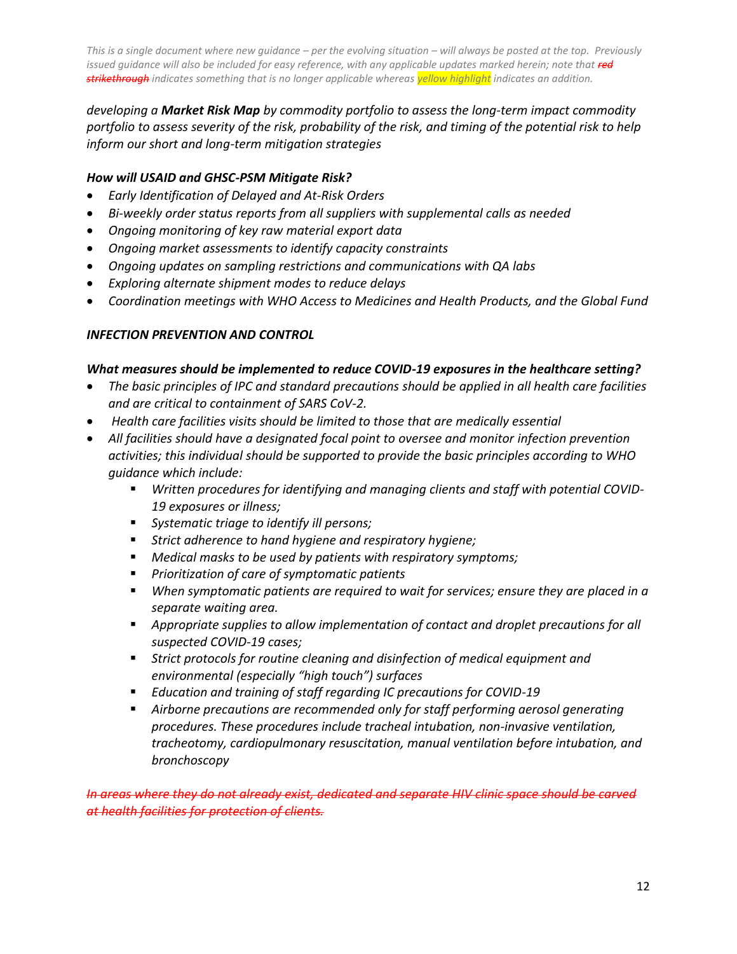*developing a Market Risk Map by commodity portfolio to assess the long-term impact commodity portfolio to assess severity of the risk, probability of the risk, and timing of the potential risk to help inform our short and long-term mitigation strategies*

## *How will USAID and GHSC-PSM Mitigate Risk?*

- *Early Identification of Delayed and At-Risk Orders*
- *Bi-weekly order status reports from all suppliers with supplemental calls as needed*
- *Ongoing monitoring of key raw material export data*
- *Ongoing market assessments to identify capacity constraints*
- *Ongoing updates on sampling restrictions and communications with QA labs*
- *Exploring alternate shipment modes to reduce delays*
- *Coordination meetings with WHO Access to Medicines and Health Products, and the Global Fund*

## *INFECTION PREVENTION AND CONTROL*

## *What measures should be implemented to reduce COVID-19 exposures in the healthcare setting?*

- *The basic principles of IPC and standard precautions should be applied in all health care facilities and are critical to containment of SARS CoV-2.*
- *Health care facilities visits should be limited to those that are medically essential*
- *All facilities should have a designated focal point to oversee and monitor infection prevention activities; this individual should be supported to provide the basic principles according to WHO guidance which include:*
	- *Written procedures for identifying and managing clients and staff with potential COVID-19 exposures or illness;*
	- *Systematic triage to identify ill persons;*
	- *Strict adherence to hand hygiene and respiratory hygiene;*
	- *Medical masks to be used by patients with respiratory symptoms;*
	- *Prioritization of care of symptomatic patients*
	- *When symptomatic patients are required to wait for services; ensure they are placed in a separate waiting area.*
	- *Appropriate supplies to allow implementation of contact and droplet precautions for all suspected COVID-19 cases;*
	- *Strict protocols for routine cleaning and disinfection of medical equipment and environmental (especially "high touch") surfaces*
	- *Education and training of staff regarding IC precautions for COVID-19*
	- *Airborne precautions are recommended only for staff performing aerosol generating procedures. These procedures include tracheal intubation, non-invasive ventilation, tracheotomy, cardiopulmonary resuscitation, manual ventilation before intubation, and bronchoscopy*

*In areas where they do not already exist, dedicated and separate HIV clinic space should be carved at health facilities for protection of clients.*